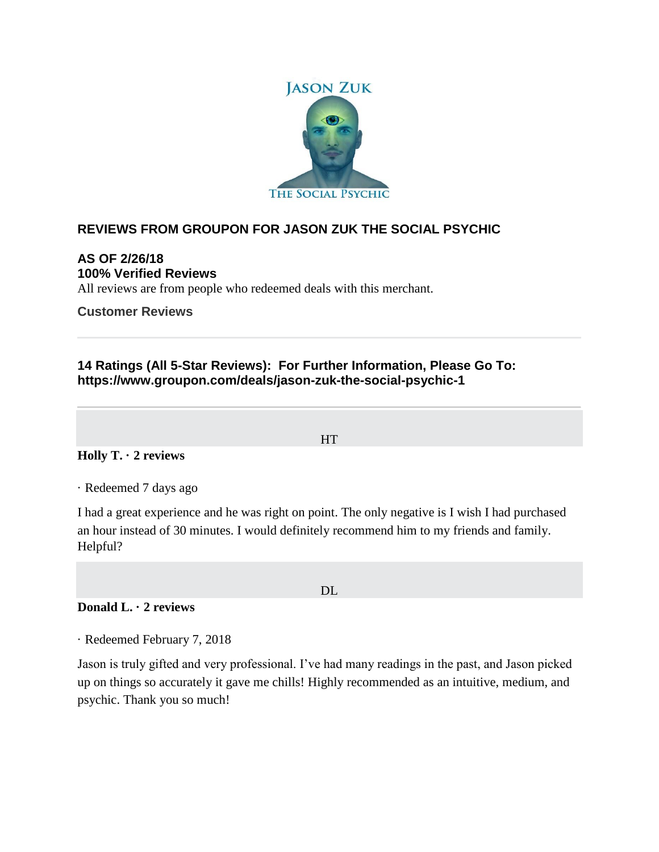

# **REVIEWS FROM GROUPON FOR JASON ZUK THE SOCIAL PSYCHIC**

## **AS OF 2/26/18 100% Verified Reviews**

All reviews are from people who redeemed deals with this merchant.

**Customer Reviews**

# **14 Ratings (All 5-Star Reviews): For Further Information, Please Go To: https://www.groupon.com/deals/jason-zuk-the-social-psychic-1**

HT

## **Holly T. · 2 reviews**

· Redeemed 7 days ago

I had a great experience and he was right on point. The only negative is I wish I had purchased an hour instead of 30 minutes. I would definitely recommend him to my friends and family. Helpful?

DL

**Donald L. · 2 reviews**

· Redeemed February 7, 2018

Jason is truly gifted and very professional. I've had many readings in the past, and Jason picked up on things so accurately it gave me chills! Highly recommended as an intuitive, medium, and psychic. Thank you so much!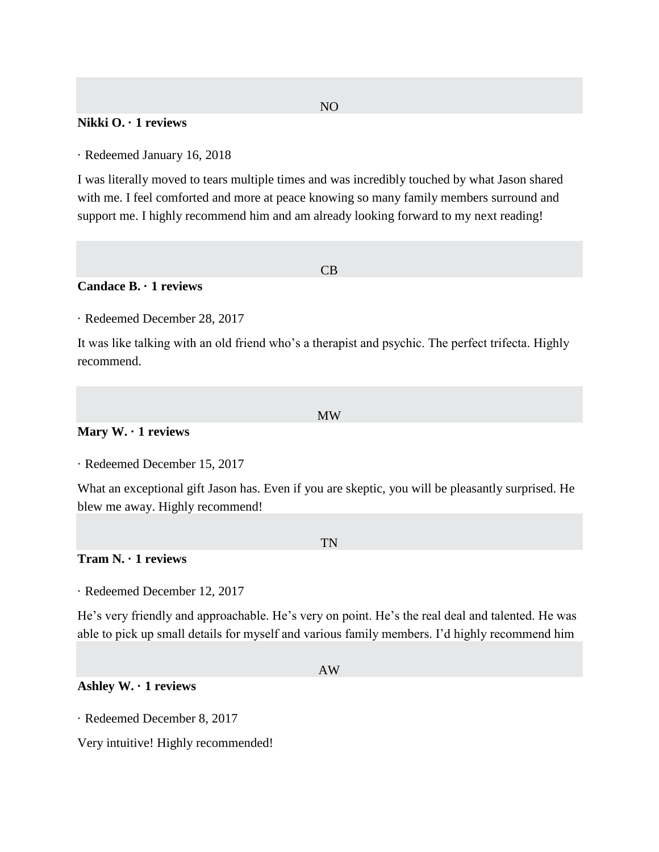### NO

### **Nikki O. · 1 reviews**

· Redeemed January 16, 2018

I was literally moved to tears multiple times and was incredibly touched by what Jason shared with me. I feel comforted and more at peace knowing so many family members surround and support me. I highly recommend him and am already looking forward to my next reading!

#### CB

## **Candace B. · 1 reviews**

· Redeemed December 28, 2017

It was like talking with an old friend who's a therapist and psychic. The perfect trifecta. Highly recommend.

#### MW

### **Mary W. · 1 reviews**

· Redeemed December 15, 2017

What an exceptional gift Jason has. Even if you are skeptic, you will be pleasantly surprised. He blew me away. Highly recommend!

#### TN

### **Tram N. · 1 reviews**

· Redeemed December 12, 2017

He's very friendly and approachable. He's very on point. He's the real deal and talented. He was able to pick up small details for myself and various family members. I'd highly recommend him

#### AW

### **Ashley W. · 1 reviews**

· Redeemed December 8, 2017

Very intuitive! Highly recommended!